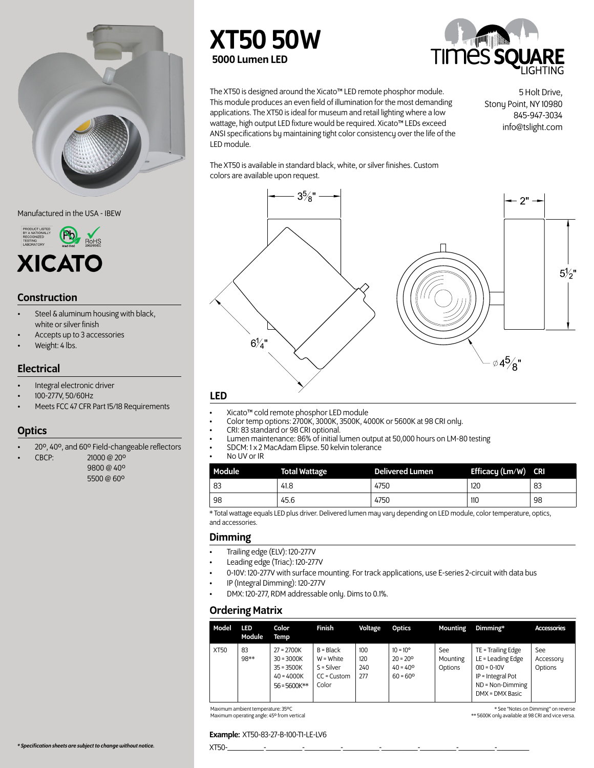

Manufactured in the USA - IBEW



#### Construction

- Steel & aluminum housing with black, white or silver finish
- Accepts up to 3 accessories
- Weight: 4 lbs.

#### **Electrical**

- Integral electronic driver
- 100-277V, 50/60Hz
- Meets FCC 47 CFR Part 15/18 Requirements

## **Optics**

- 20º, 40º, and 60º Field-changeable reflectors
- CBCP: 21000 @ 20º
	- 9800 @ 40º 5500 @ 60º

## XT50 50W 5000 Lumen LED



The XT50 is designed around the Xicato™ LED remote phosphor module. This module produces an even field of illumination for the most demanding applications. The XT50 is ideal for museum and retail lighting where a low wattage, high output LED fixture would be required. Xicato™ LEDs exceed ANSI specifications by maintaining tight color consistency over the life of the LED module.

5 Holt Drive, Stony Point, NY 10980 845-947-3034 info@tslight.com

The XT50 is available in standard black, white, or silver finishes. Custom colors are available upon request.



- Xicato™ cold remote phosphor LED module
- Color temp options:  $2700K$ ,  $3000K$ ,  $3500K$ ,  $4000K$  or  $5600K$  at 98 CRI only.<br>• CRI: 83 standard or 98 CRI optional
- CRI: 83 standard or 98 CRI optional.
- Lumen maintenance: 86% of initial lumen output at 50,000 hours on LM-80 testing
- SDCM: 1 x 2 MacAdam Elipse. 50 kelvin tolerance
- No UV or IR

| Module <sup>1</sup>                                                                                                                                                                                                                                                                     | <b>Total Wattage</b> | <b>Delivered Lumen</b> | Efficacy (Lm/W) CRI |    |
|-----------------------------------------------------------------------------------------------------------------------------------------------------------------------------------------------------------------------------------------------------------------------------------------|----------------------|------------------------|---------------------|----|
| 83                                                                                                                                                                                                                                                                                      | 41.8                 | 4750                   | 120                 | 83 |
| -98                                                                                                                                                                                                                                                                                     | 45.6                 | 4750                   | 110                 | 98 |
| $\sim$ $\sim$ $\sim$ $\sim$ $\sim$ $\sim$ $\sim$<br>.<br>and the contract of the contract of the contract of the contract of the contract of the contract of the contract of the contract of the contract of the contract of the contract of the contract of the contract of the contra |                      |                        |                     |    |

\* Total wattage equals LED plus driver. Delivered lumen may vary depending on LED module, color temperature, optics, and accessories.

#### Dimming

- Trailing edge (ELV): 120-277V
- Leading edge (Triac): 120-277V
- 0-10V: 120-277V with surface mounting. For track applications, use E-series 2-circuit with data bus
- IP (Integral Dimming): 120-277V
- DMX: 120-277, RDM addressable only. Dims to 0.1%.

#### Ordering Matrix

| Model       | LED<br>Module | Color<br>Temp                                                                  | Finish                                                                 | Voltage                  | Optics                                                                           | <b>Mounting</b>            | Dimming*                                                                                                                 | Accessories                 |
|-------------|---------------|--------------------------------------------------------------------------------|------------------------------------------------------------------------|--------------------------|----------------------------------------------------------------------------------|----------------------------|--------------------------------------------------------------------------------------------------------------------------|-----------------------------|
| <b>XT50</b> | 83<br>98**    | $27 = 2700K$<br>$30 = 3000K$<br>$35 = 3500K$<br>$40 = 4000K$<br>$56 = 5600K**$ | $B = Black$<br>$W = White$<br>$S = Silver$<br>$CC = Customer$<br>Color | 100<br>120<br>240<br>277 | $10 = 10^{\circ}$<br>$20 = 20^{\circ}$<br>$40 = 40^{\circ}$<br>$60 = 60^{\circ}$ | See<br>Mounting<br>Options | TE = Trailing Edge<br>LE = Leading Edge<br>$010 = 0 - 10V$<br>IP = Integral Pot<br>$ND = Non-Dimming$<br>DMX = DMX Basic | See<br>Accessory<br>Options |

Maximum ambient temperature: 35ºC Maximum operating angle: 45º from vertical

\* See "Notes on Dimming" on reverse \*\* 5600K only available at 98 CRI and vice versa.

#### Example: XT50-83-27-B-100-T1-LE-LV6